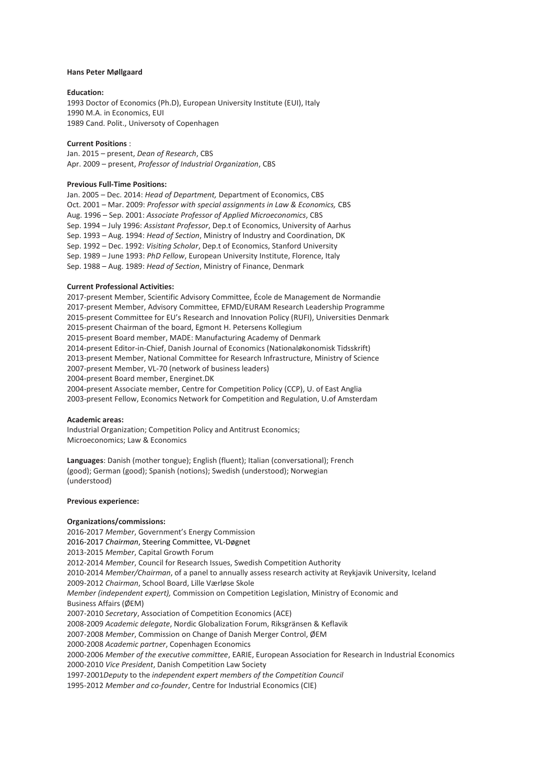#### **Hans Peter Møllgaard**

#### **Education:**

1993 Doctor of Economics (Ph.D), European University Institute (EUI), Italy 1990 M.A. in Economics, EUI 1989 Cand. Polit., Universoty of Copenhagen

#### **Current Positions** :

Jan. 2015 – present, *Dean of Research*, CBS Apr. 2009 – present, *Professor of Industrial Organization*, CBS

#### **Previous Full-Time Positions:**

Jan. 2005 – Dec. 2014: *Head of Department,* Department of Economics, CBS Oct. 2001 – Mar. 2009: *Professor with special assignments in Law & Economics,* CBS Aug. 1996 – Sep. 2001: *Associate Professor of Applied Microeconomics*, CBS Sep. 1994 – July 1996: *Assistant Professor*, Dep.t of Economics, University of Aarhus Sep. 1993 – Aug. 1994: *Head of Section*, Ministry of Industry and Coordination, DK Sep. 1992 – Dec. 1992: *Visiting Scholar*, Dep.t of Economics, Stanford University Sep. 1989 – June 1993: *PhD Fellow*, European University Institute, Florence, Italy Sep. 1988 – Aug. 1989: *Head of Section*, Ministry of Finance, Denmark

#### **Current Professional Activities:**

2017-present Member, Scientific Advisory Committee, École de Management de Normandie 2017-present Member, Advisory Committee, EFMD/EURAM Research Leadership Programme 2015-present Committee for EU's Research and Innovation Policy (RUFI), Universities Denmark 2015-present Chairman of the board, Egmont H. Petersens Kollegium 2015-present Board member, MADE: Manufacturing Academy of Denmark 2014-present Editor-in-Chief, Danish Journal of Economics (Nationaløkonomisk Tidsskrift) 2013-present Member, National Committee for Research Infrastructure, Ministry of Science 2007-present Member, VL-70 (network of business leaders) 2004-present Board member, Energinet.DK 2004-present Associate member, Centre for Competition Policy (CCP), U. of East Anglia 2003-present Fellow, Economics Network for Competition and Regulation, U.of Amsterdam

#### **Academic areas:**

Industrial Organization; Competition Policy and Antitrust Economics; Microeconomics; Law & Economics

**Languages**: Danish (mother tongue); English (fluent); Italian (conversational); French (good); German (good); Spanish (notions); Swedish (understood); Norwegian (understood)

#### **Previous experience:**

### **Organizations/commissions:**

2016-2017 *Member*, Government's Energy Commission 2016-2017 *Chairman*, Steering Committee, VL-Døgnet 2013-2015 *Member*, Capital Growth Forum 2012-2014 *Member*, Council for Research Issues, Swedish Competition Authority 2010-2014 *Member/Chairman*, of a panel to annually assess research activity at Reykjavik University, Iceland 2009-2012 *Chairman*, School Board, Lille Værløse Skole *Member (independent expert),* Commission on Competition Legislation, Ministry of Economic and Business Affairs (ØEM) 2007-2010 *Secretary*, Association of Competition Economics (ACE) 2008-2009 *Academic delegate*, Nordic Globalization Forum, Riksgränsen & Keflavik 2007-2008 *Member*, Commission on Change of Danish Merger Control, ØEM 2000-2008 *Academic partner*, Copenhagen Economics 2000-2006 *Member of the executive committee*, EARIE, European Association for Research in Industrial Economics 2000-2010 *Vice President*, Danish Competition Law Society 1997-2001*Deputy* to the *independent expert members of the Competition Council* 1995-2012 *Member and co-founder*, Centre for Industrial Economics (CIE)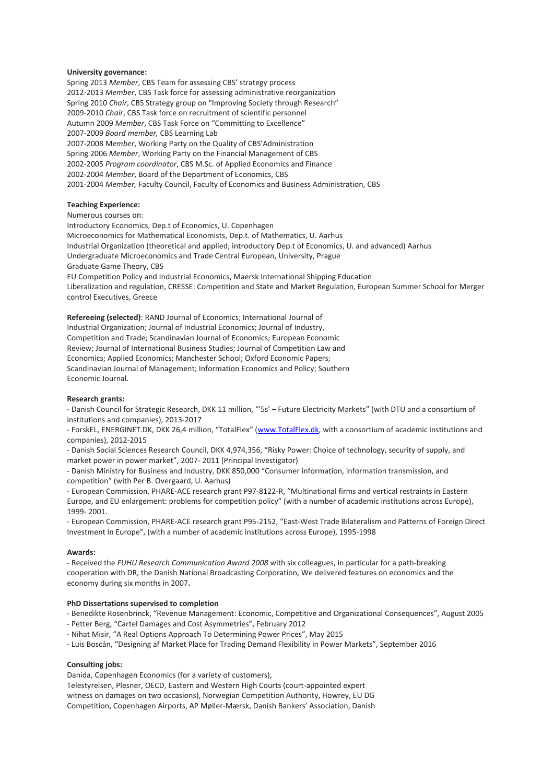### **University governance:**

Spring 2013 *Member*, CBS Team for assessing CBS' strategy process 2012-2013 *Member*, CBS Task force for assessing administrative reorganization Spring 2010 *Chair*, CBS Strategy group on "Improving Society through Research" 2009-2010 *Chair*, CBS Task force on recruitment of scientific personnel Autumn 2009 *Member*, CBS Task Force on "Committing to Excellence" 2007-2009 *Board member,* CBS Learning Lab 2007-2008 M*ember*, Working Party on the Quality of CBS'Administration Spring 2006 *Member*, Working Party on the Financial Management of CBS 2002-2005 *Program coordinator*, CBS M.Sc. of Applied Economics and Finance 2002-2004 *Member*, Board of the Department of Economics, CBS 2001-2004 *Member,* Faculty Council, Faculty of Economics and Business Administration, CBS

## **Teaching Experience:**

Numerous courses on: Introductory Economics, Dep.t of Economics, U. Copenhagen Microeconomics for Mathematical Economists, Dep.t. of Mathematics, U. Aarhus Industrial Organization (theoretical and applied; introductory Dep.t of Economics, U. and advanced) Aarhus Undergraduate Microeconomics and Trade Central European, University, Prague Graduate Game Theory, CBS EU Competition Policy and Industrial Economics, Maersk International Shipping Education Liberalization and regulation, CRESSE: Competition and State and Market Regulation, European Summer School for Merger control Executives, Greece

**Refereeing (selected)**: RAND Journal of Economics; International Journal of Industrial Organization; Journal of Industrial Economics; Journal of Industry, Competition and Trade; Scandinavian Journal of Economics; European Economic Review; Journal of International Business Studies; Journal of Competition Law and Economics; Applied Economics; Manchester School; Oxford Economic Papers; Scandinavian Journal of Management; Information Economics and Policy; Southern Economic Journal.

### **Research grants:**

- Danish Council for Strategic Research, DKK 11 million, "'5s' – Future Electricity Markets" (with DTU and a consortium of institutions and companies), 2013-2017

- ForskEL, ENERGINET.DK, DKK 26,4 million, "TotalFlex" ([www.TotalFlex.dk,](http://www.totalflex.dk/) with a consortium of academic institutions and companies), 2012-2015

- Danish Social Sciences Research Council, DKK 4,974,356, "Risky Power: Choice of technology, security of supply, and market power in power market", 2007- 2011 (Principal Investigator)

- Danish Ministry for Business and Industry, DKK 850,000 "Consumer information, information transmission, and competition" (with Per B. Overgaard, U. Aarhus)

- European Commission, PHARE-ACE research grant P97-8122-R, "Multinational firms and vertical restraints in Eastern Europe, and EU enlargement: problems for competition policy" (with a number of academic institutions across Europe), 1999- 2001.

- European Commission, PHARE-ACE research grant P95-2152, "East-West Trade Bilateralism and Patterns of Foreign Direct Investment in Europe", (with a number of academic institutions across Europe), 1995-1998

### **Awards:**

- Received the *FUHU Research Communication Award 2008* with six colleagues, in particular for a path-breaking cooperation with DR, the Danish National Broadcasting Corporation, We delivered features on economics and the economy during six months in 2007**.**

## **PhD Dissertations supervised to completion**

- Benedikte Rosenbrinck, "Revenue Management: Economic, Competitive and Organizational Consequences", August 2005

- Petter Berg, "Cartel Damages and Cost Asymmetries", February 2012
- Nihat Misir, "A Real Options Approach To Determining Power Prices", May 2015
- Luis Boscán, "Designing af Market Place for Trading Demand Flexibility in Power Markets", September 2016

### **Consulting jobs:**

Danida, Copenhagen Economics (for a variety of customers),

Telestyrelsen, Plesner, OECD, Eastern and Western High Courts (court-appointed expert witness on damages on two occasions), Norwegian Competition Authority, Howrey, EU DG Competition, Copenhagen Airports, AP Møller-Mærsk, Danish Bankers' Association, Danish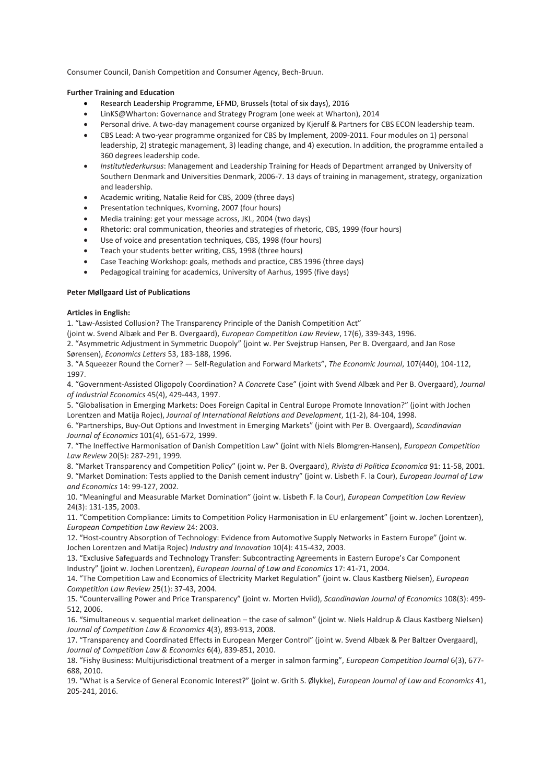Consumer Council, Danish Competition and Consumer Agency, Bech-Bruun.

# **Further Training and Education**

- Research Leadership Programme, EFMD, Brussels (total of six days), 2016
- LinKS@Wharton: Governance and Strategy Program (one week at Wharton), 2014
- Personal drive. A two-day management course organized by Kjerulf & Partners for CBS ECON leadership team.
- CBS Lead: A two-year programme organized for CBS by Implement, 2009-2011. Four modules on 1) personal leadership, 2) strategic management, 3) leading change, and 4) execution. In addition, the programme entailed a 360 degrees leadership code.
- *Institutlederkursus*: Management and Leadership Training for Heads of Department arranged by University of Southern Denmark and Universities Denmark, 2006-7. 13 days of training in management, strategy, organization and leadership.
- Academic writing, Natalie Reid for CBS, 2009 (three days)
- Presentation techniques, Kvorning, 2007 (four hours)
- Media training: get your message across, JKL, 2004 (two days)
- Rhetoric: oral communication, theories and strategies of rhetoric, CBS, 1999 (four hours)
- Use of voice and presentation techniques, CBS, 1998 (four hours)
- Teach your students better writing, CBS, 1998 (three hours)
- Case Teaching Workshop: goals, methods and practice, CBS 1996 (three days)
- Pedagogical training for academics, University of Aarhus, 1995 (five days)

## **Peter Møllgaard List of Publications**

## **Articles in English:**

1. "Law-Assisted Collusion? The Transparency Principle of the Danish Competition Act"

(joint w. Svend Albæk and Per B. Overgaard), *European Competition Law Review*, 17(6), 339-343, 1996.

2. "Asymmetric Adjustment in Symmetric Duopoly" (joint w. Per Svejstrup Hansen, Per B. Overgaard, and Jan Rose Sørensen), *Economics Letters* 53, 183-188, 1996.

3. "A Squeezer Round the Corner? — Self-Regulation and Forward Markets", *The Economic Journal*, 107(440), 104-112, 1997.

4. "Government-Assisted Oligopoly Coordination? A *Concrete* Case" (joint with Svend Albæk and Per B. Overgaard), *Journal of Industrial Economics* 45(4), 429-443, 1997.

5. "Globalisation in Emerging Markets: Does Foreign Capital in Central Europe Promote Innovation?" (joint with Jochen Lorentzen and Matija Rojec), *Journal of International Relations and Development*, 1(1-2), 84-104, 1998.

6. "Partnerships, Buy-Out Options and Investment in Emerging Markets" (joint with Per B. Overgaard), *Scandinavian Journal of Economics* 101(4), 651-672, 1999.

7. "The Ineffective Harmonisation of Danish Competition Law" (joint with Niels Blomgren-Hansen), *European Competition Law Review* 20(5): 287-291, 1999.

8. "Market Transparency and Competition Policy" (joint w. Per B. Overgaard), *Rivista di Politica Economica* 91: 11-58, 2001. 9. "Market Domination: Tests applied to the Danish cement industry" (joint w. Lisbeth F. la Cour), *European Journal of Law and Economics* 14: 99-127, 2002.

10. "Meaningful and Measurable Market Domination" (joint w. Lisbeth F. la Cour), *European Competition Law Review*  24(3): 131-135, 2003.

11. "Competition Compliance: Limits to Competition Policy Harmonisation in EU enlargement" (joint w. Jochen Lorentzen), *European Competition Law Review* 24: 2003.

12. "Host-country Absorption of Technology: Evidence from Automotive Supply Networks in Eastern Europe" (joint w. Jochen Lorentzen and Matija Rojec) *Industry and Innovation* 10(4): 415-432, 2003.

13. "Exclusive Safeguards and Technology Transfer: Subcontracting Agreements in Eastern Europe's Car Component Industry" (joint w. Jochen Lorentzen), *European Journal of Law and Economics* 17: 41-71, 2004.

14. "The Competition Law and Economics of Electricity Market Regulation" (joint w. Claus Kastberg Nielsen), *European Competition Law Review* 25(1): 37-43, 2004.

15. "Countervailing Power and Price Transparency" (joint w. Morten Hviid), *Scandinavian Journal of Economics* 108(3): 499- 512, 2006.

16. "Simultaneous v. sequential market delineation – the case of salmon" (joint w. Niels Haldrup & Claus Kastberg Nielsen) *Journal of Competition Law & Economics* 4(3), 893-913, 2008.

17. "Transparency and Coordinated Effects in European Merger Control" (joint w. Svend Albæk & Per Baltzer Overgaard), *Journal of Competition Law & Economics* 6(4), 839-851, 2010.

18. "Fishy Business: Multijurisdictional treatment of a merger in salmon farming", *European Competition Journal* 6(3), 677- 688, 2010.

19. "What is a Service of General Economic Interest?" (joint w. Grith S. Ølykke), *European Journal of Law and Economics* 41, 205-241, 2016.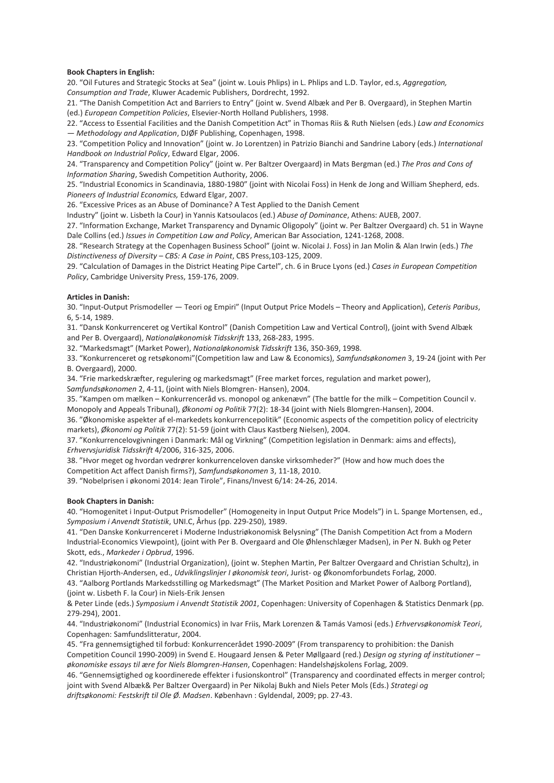## **Book Chapters in English:**

20. "Oil Futures and Strategic Stocks at Sea" (joint w. Louis Phlips) in L. Phlips and L.D. Taylor, ed.s, *Aggregation, Consumption and Trade*, Kluwer Academic Publishers, Dordrecht, 1992.

21. "The Danish Competition Act and Barriers to Entry" (joint w. Svend Albæk and Per B. Overgaard), in Stephen Martin (ed.) *European Competition Policies*, Elsevier-North Holland Publishers, 1998.

22. "Access to Essential Facilities and the Danish Competition Act" in Thomas Riis & Ruth Nielsen (eds.) *Law and Economics — Methodology and Application*, DJØF Publishing, Copenhagen, 1998.

23. "Competition Policy and Innovation" (joint w. Jo Lorentzen) in Patrizio Bianchi and Sandrine Labory (eds.) *International Handbook on Industrial Policy*, Edward Elgar, 2006.

24. "Transparency and Competition Policy" (joint w. Per Baltzer Overgaard) in Mats Bergman (ed.) *The Pros and Cons of Information Sharing*, Swedish Competition Authority, 2006.

25. "Industrial Economics in Scandinavia, 1880-1980" (joint with Nicolai Foss) in Henk de Jong and William Shepherd, eds. *Pioneers of Industrial Economics,* Edward Elgar, 2007.

26. "Excessive Prices as an Abuse of Dominance? A Test Applied to the Danish Cement

Industry" (joint w. Lisbeth la Cour) in Yannis Katsoulacos (ed.) *Abuse of Dominance*, Athens: AUEB, 2007.

27. "Information Exchange, Market Transparency and Dynamic Oligopoly" (joint w. Per Baltzer Overgaard) ch. 51 in Wayne Dale Collins (ed.) *Issues in Competition Law and Policy*, American Bar Association, 1241-1268, 2008.

28. "Research Strategy at the Copenhagen Business School" (joint w. Nicolai J. Foss) in Jan Molin & Alan Irwin (eds.) *The Distinctiveness of Diversity – CBS: A Case in Point*, CBS Press,103-125, 2009.

29. "Calculation of Damages in the District Heating Pipe Cartel", ch. 6 in Bruce Lyons (ed.) *Cases in European Competition Policy*, Cambridge University Press, 159-176, 2009.

### **Articles in Danish:**

30. "Input-Output Prismodeller — Teori og Empiri" (Input Output Price Models – Theory and Application), *Ceteris Paribus*, 6, 5-14, 1989.

31. "Dansk Konkurrenceret og Vertikal Kontrol" (Danish Competition Law and Vertical Control), (joint with Svend Albæk and Per B. Overgaard), *Nationaløkonomisk Tidsskrift* 133, 268-283, 1995.

32. "Markedsmagt" (Market Power), *Nationaløkonomisk Tidsskrift* 136, 350-369, 1998.

33. "Konkurrenceret og retsøkonomi"(Competition law and Law & Economics), *Samfundsøkonomen* 3, 19-24 (joint with Per B. Overgaard), 2000.

34. "Frie markedskræfter, regulering og markedsmagt" (Free market forces, regulation and market power),

S*amfundsøkonomen* 2, 4-11, (joint with Niels Blomgren- Hansen), 2004.

35. "Kampen om mælken – Konkurrenceråd vs. monopol og ankenævn" (The battle for the milk – Competition Council v. Monopoly and Appeals Tribunal), *Økonomi og Politik* 77(2): 18-34 (joint with Niels Blomgren-Hansen), 2004.

36. "Økonomiske aspekter af el-markedets konkurrencepolitik" (Economic aspects of the competition policy of electricity markets), *Økonomi og Politik* 77(2): 51-59 (joint with Claus Kastberg Nielsen), 2004.

37. "Konkurrencelovgivningen i Danmark: Mål og Virkning" (Competition legislation in Denmark: aims and effects), *Erhvervsjuridisk Tidsskrift* 4/2006, 316-325, 2006.

38. "Hvor meget og hvordan vedrører konkurrenceloven danske virksomheder?" (How and how much does the Competition Act affect Danish firms?), *Samfundsøkonomen* 3, 11-18, 2010.

39. "Nobelprisen i økonomi 2014: Jean Tirole", Finans/Invest 6/14: 24-26, 2014.

### **Book Chapters in Danish:**

40. "Homogenitet i Input-Output Prismodeller" (Homogeneity in Input Output Price Models") in L. Spange Mortensen, ed., *Symposium i Anvendt Statistik*, UNI.C, Århus (pp. 229-250), 1989.

41. "Den Danske Konkurrenceret i Moderne Industriøkonomisk Belysning" (The Danish Competition Act from a Modern Industrial-Economics Viewpoint), (joint with Per B. Overgaard and Ole Øhlenschlæger Madsen), in Per N. Bukh og Peter Skott, eds., *Markeder i Opbrud*, 1996.

42. "Industriøkonomi" (Industrial Organization), (joint w. Stephen Martin, Per Baltzer Overgaard and Christian Schultz), in Christian Hjorth-Andersen, ed., *Udviklingslinjer I økonomisk teori*, Jurist- og Økonomforbundets Forlag, 2000.

43. "Aalborg Portlands Markedsstilling og Markedsmagt" (The Market Position and Market Power of Aalborg Portland), (joint w. Lisbeth F. la Cour) in Niels-Erik Jensen

& Peter Linde (eds.) *Symposium i Anvendt Statistik 2001*, Copenhagen: University of Copenhagen & Statistics Denmark (pp. 279-294), 2001.

44. "Industriøkonomi" (Industrial Economics) in Ivar Friis, Mark Lorenzen & Tamás Vamosi (eds.) *Erhvervsøkonomisk Teori*, Copenhagen: Samfundslitteratur, 2004.

45. "Fra gennemsigtighed til forbud: Konkurrencerådet 1990-2009" (From transparency to prohibition: the Danish Competition Council 1990-2009) in Svend E. Hougaard Jensen & Peter Møllgaard (red.) *Design og styring af institutioner – økonomiske essays til ære for Niels Blomgren-Hansen*, Copenhagen: Handelshøjskolens Forlag, 2009.

46. "Gennemsigtighed og koordinerede effekter i fusionskontrol" (Transparency and coordinated effects in merger control; joint with Svend Albæk& Per Baltzer Overgaard) in Per Nikolaj Bukh and Niels Peter Mols (Eds.) *Strategi og driftsøkonomi: Festskrift til Ole Ø. Madsen*. København : Gyldendal, 2009; pp. 27-43.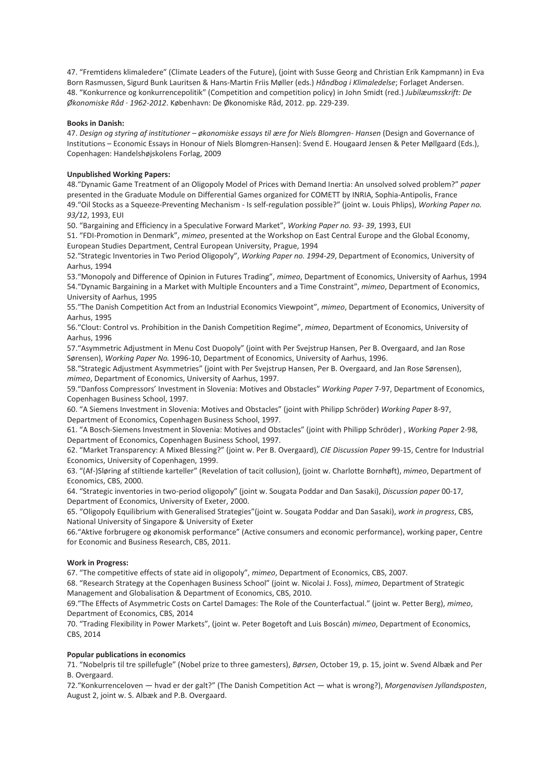47. "Fremtidens klimaledere" (Climate Leaders of the Future), (joint with Susse Georg and Christian Erik Kampmann) in Eva Born Rasmussen, Sigurd Bunk Lauritsen & Hans-Martin Friis Møller (eds.) *Håndbog i Klimaledelse*; Forlaget Andersen. 48. "Konkurrence og konkurrencepolitik" (Competition and competition policy) in John Smidt (red.) *Jubilæumsskrift: De Økonomiske Råd · 1962-2012*. København: De Økonomiske Råd, 2012. pp. 229-239.

## **Books in Danish:**

47. *Design og styring af institutioner – økonomiske essays til ære for Niels Blomgren- Hansen* (Design and Governance of Institutions – Economic Essays in Honour of Niels Blomgren-Hansen): Svend E. Hougaard Jensen & Peter Møllgaard (Eds.), Copenhagen: Handelshøjskolens Forlag, 2009

## **Unpublished Working Papers:**

48."Dynamic Game Treatment of an Oligopoly Model of Prices with Demand Inertia: An unsolved solved problem?" *paper*  presented in the Graduate Module on Differential Games organized for COMETT by INRIA, Sophia-Antipolis, France 49."Oil Stocks as a Squeeze-Preventing Mechanism - Is self-regulation possible?" (joint w. Louis Phlips), *Working Paper no. 93/12*, 1993, EUI

50. "Bargaining and Efficiency in a Speculative Forward Market", *Working Paper no. 93- 39*, 1993, EUI

51. "FDI-Promotion in Denmark", *mimeo*, presented at the Workshop on East Central Europe and the Global Economy, European Studies Department, Central European University, Prague, 1994

52."Strategic Inventories in Two Period Oligopoly", *Working Paper no. 1994-29*, Department of Economics, University of Aarhus, 1994

53."Monopoly and Difference of Opinion in Futures Trading", *mimeo*, Department of Economics, University of Aarhus, 1994 54."Dynamic Bargaining in a Market with Multiple Encounters and a Time Constraint", *mimeo*, Department of Economics, University of Aarhus, 1995

55."The Danish Competition Act from an Industrial Economics Viewpoint", *mimeo*, Department of Economics, University of Aarhus, 1995

56."Clout: Control vs. Prohibition in the Danish Competition Regime", *mimeo*, Department of Economics, University of Aarhus, 1996

57."Asymmetric Adjustment in Menu Cost Duopoly" (joint with Per Svejstrup Hansen, Per B. Overgaard, and Jan Rose Sørensen), *Working Paper No.* 1996-10, Department of Economics, University of Aarhus, 1996.

58."Strategic Adjustment Asymmetries" (joint with Per Svejstrup Hansen, Per B. Overgaard, and Jan Rose Sørensen), *mimeo*, Department of Economics, University of Aarhus, 1997.

59."Danfoss Compressors' Investment in Slovenia: Motives and Obstacles" *Working Paper* 7-97, Department of Economics, Copenhagen Business School, 1997.

60. "A Siemens Investment in Slovenia: Motives and Obstacles" (joint with Philipp Schröder) *Working Paper* 8-97, Department of Economics, Copenhagen Business School, 1997.

61. "A Bosch-Siemens Investment in Slovenia: Motives and Obstacles" (joint with Philipp Schröder) , *Working Paper* 2-98, Department of Economics, Copenhagen Business School, 1997.

62. "Market Transparency: A Mixed Blessing?" (joint w. Per B. Overgaard), *CIE Discussion Paper* 99-15, Centre for Industrial Economics, University of Copenhagen, 1999.

63. "(Af-)Sløring af stiltiende karteller" (Revelation of tacit collusion), (joint w. Charlotte Bornhøft), *mimeo*, Department of Economics, CBS, 2000.

64. "Strategic inventories in two-period oligopoly" (joint w. Sougata Poddar and Dan Sasaki), *Discussion paper* 00-17, Department of Economics, University of Exeter, 2000.

65. "Oligopoly Equilibrium with Generalised Strategies"(joint w. Sougata Poddar and Dan Sasaki), *work in progress*, CBS, National University of Singapore & University of Exeter

66."Aktive forbrugere og økonomisk performance" (Active consumers and economic performance), working paper, Centre for Economic and Business Research, CBS, 2011.

# **Work in Progress:**

67. "The competitive effects of state aid in oligopoly", *mimeo*, Department of Economics, CBS, 2007.

68. "Research Strategy at the Copenhagen Business School" (joint w. Nicolai J. Foss), *mimeo*, Department of Strategic Management and Globalisation & Department of Economics, CBS, 2010.

69."The Effects of Asymmetric Costs on Cartel Damages: The Role of the Counterfactual." (joint w. Petter Berg), *mimeo*, Department of Economics, CBS, 2014

70. "Trading Flexibility in Power Markets", (joint w. Peter Bogetoft and Luis Boscán) *mimeo*, Department of Economics, CBS, 2014

# **Popular publications in economics**

71. "Nobelpris til tre spillefugle" (Nobel prize to three gamesters), *Børsen*, October 19, p. 15, joint w. Svend Albæk and Per B. Overgaard.

72."Konkurrenceloven — hvad er der galt?" (The Danish Competition Act — what is wrong?), *Morgenavisen Jyllandsposten*, August 2, joint w. S. Albæk and P.B. Overgaard.